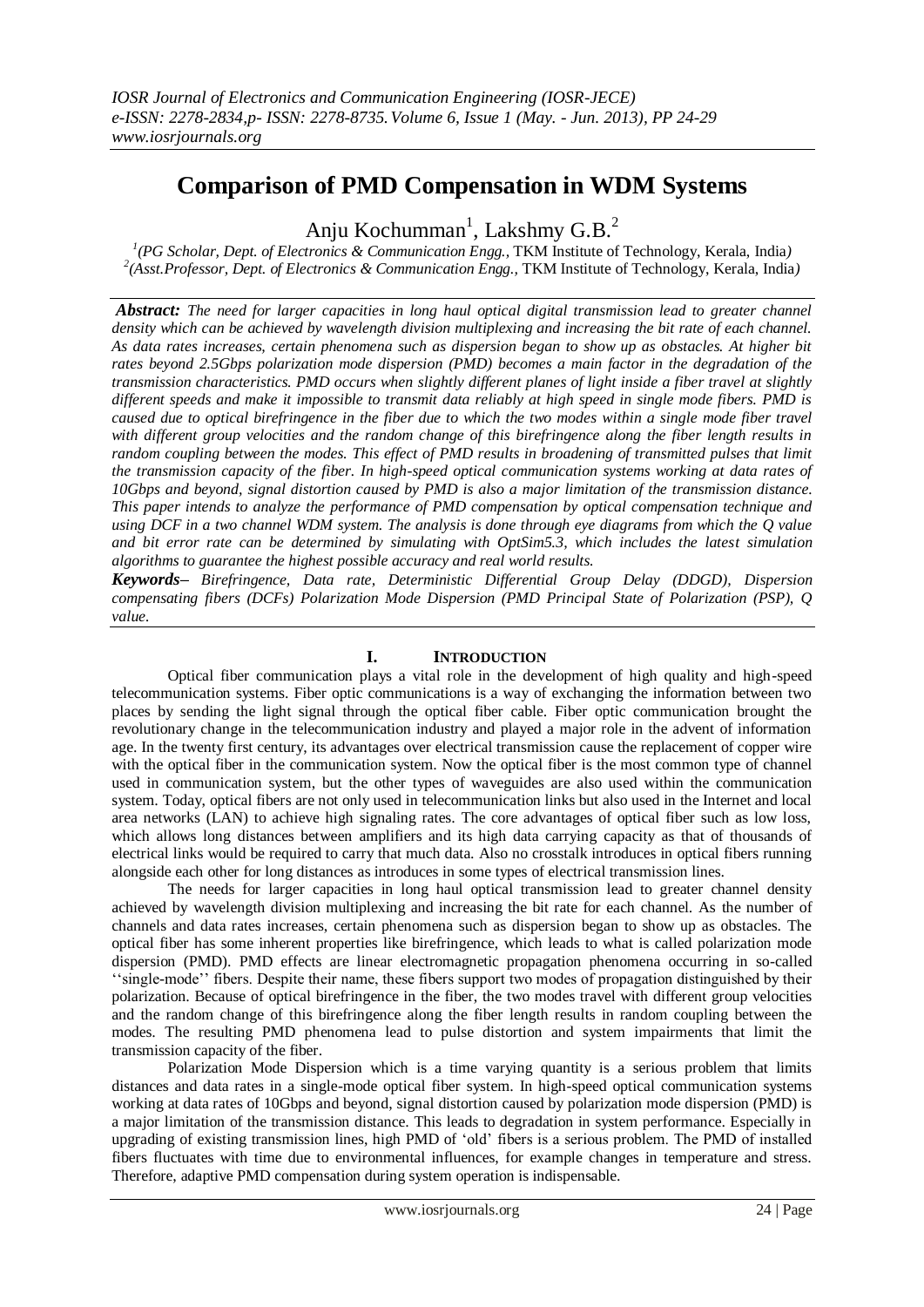# **Comparison of PMD Compensation in WDM Systems**

Anju Kochumman<sup>1</sup>, Lakshmy G.B.<sup>2</sup>

*1 (PG Scholar, Dept. of Electronics & Communication Engg.,* TKM Institute of Technology, Kerala, India*) 2 (Asst.Professor, Dept. of Electronics & Communication Engg.,* TKM Institute of Technology, Kerala, India*)*

*Abstract: The need for larger capacities in long haul optical digital transmission lead to greater channel density which can be achieved by wavelength division multiplexing and increasing the bit rate of each channel. As data rates increases, certain phenomena such as dispersion began to show up as obstacles. At higher bit rates beyond 2.5Gbps polarization mode dispersion (PMD) becomes a main factor in the degradation of the transmission characteristics. PMD occurs when slightly different planes of light inside a fiber travel at slightly different speeds and make it impossible to transmit data reliably at high speed in single mode fibers. PMD is caused due to optical birefringence in the fiber due to which the two modes within a single mode fiber travel with different group velocities and the random change of this birefringence along the fiber length results in random coupling between the modes. This effect of PMD results in broadening of transmitted pulses that limit the transmission capacity of the fiber. In high-speed optical communication systems working at data rates of 10Gbps and beyond, signal distortion caused by PMD is also a major limitation of the transmission distance. This paper intends to analyze the performance of PMD compensation by optical compensation technique and using DCF in a two channel WDM system. The analysis is done through eye diagrams from which the Q value and bit error rate can be determined by simulating with OptSim5.3, which includes the latest simulation algorithms to guarantee the highest possible accuracy and real world results.*

*Keywords– Birefringence, Data rate, Deterministic Differential Group Delay (DDGD), Dispersion compensating fibers (DCFs) Polarization Mode Dispersion (PMD Principal State of Polarization (PSP), Q value.*

# **I. INTRODUCTION**

Optical fiber communication plays a vital role in the development of high quality and high-speed telecommunication systems. Fiber optic communications is a way of exchanging the information between two places by sending the light signal through the optical fiber cable. Fiber optic communication brought the revolutionary change in the telecommunication industry and played a major role in the advent of information age. In the twenty first century, its advantages over electrical transmission cause the replacement of copper wire with the optical fiber in the communication system. Now the optical fiber is the most common type of channel used in communication system, but the other types of waveguides are also used within the communication system. Today, optical fibers are not only used in telecommunication links but also used in the Internet and local area networks (LAN) to achieve high signaling rates. The core advantages of optical fiber such as low loss, which allows long distances between amplifiers and its high data carrying capacity as that of thousands of electrical links would be required to carry that much data. Also no crosstalk introduces in optical fibers running alongside each other for long distances as introduces in some types of electrical transmission lines.

The needs for larger capacities in long haul optical transmission lead to greater channel density achieved by wavelength division multiplexing and increasing the bit rate for each channel. As the number of channels and data rates increases, certain phenomena such as dispersion began to show up as obstacles. The optical fiber has some inherent properties like birefringence, which leads to what is called polarization mode dispersion (PMD). PMD effects are linear electromagnetic propagation phenomena occurring in so-called ""single-mode"" fibers. Despite their name, these fibers support two modes of propagation distinguished by their polarization. Because of optical birefringence in the fiber, the two modes travel with different group velocities and the random change of this birefringence along the fiber length results in random coupling between the modes. The resulting PMD phenomena lead to pulse distortion and system impairments that limit the transmission capacity of the fiber.

Polarization Mode Dispersion which is a time varying quantity is a serious problem that limits distances and data rates in a single-mode optical fiber system. In high-speed optical communication systems working at data rates of 10Gbps and beyond, signal distortion caused by polarization mode dispersion (PMD) is a major limitation of the transmission distance. This leads to degradation in system performance. Especially in upgrading of existing transmission lines, high PMD of "old" fibers is a serious problem. The PMD of installed fibers fluctuates with time due to environmental influences, for example changes in temperature and stress. Therefore, adaptive PMD compensation during system operation is indispensable.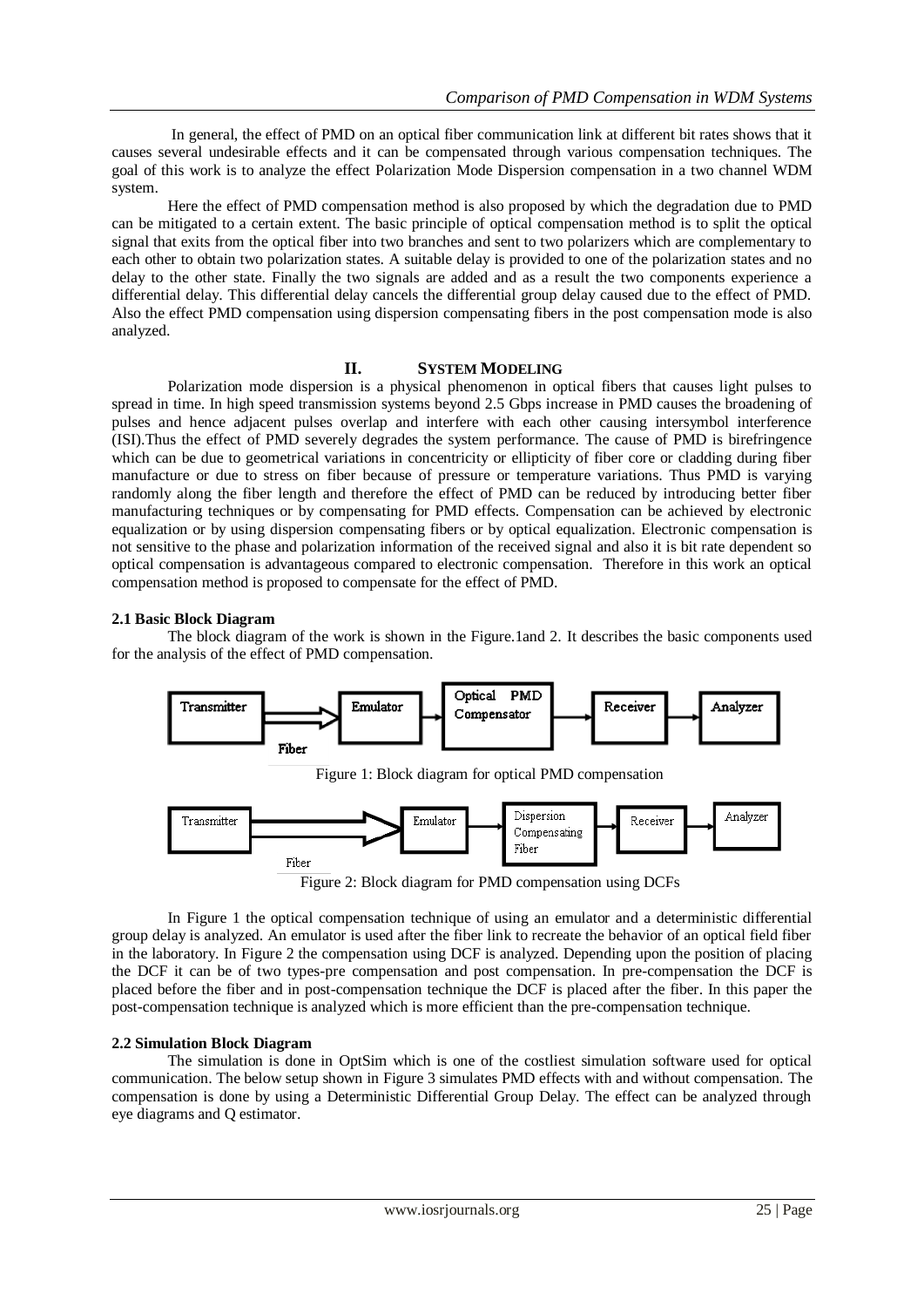In general, the effect of PMD on an optical fiber communication link at different bit rates shows that it causes several undesirable effects and it can be compensated through various compensation techniques. The goal of this work is to analyze the effect Polarization Mode Dispersion compensation in a two channel WDM system.

Here the effect of PMD compensation method is also proposed by which the degradation due to PMD can be mitigated to a certain extent. The basic principle of optical compensation method is to split the optical signal that exits from the optical fiber into two branches and sent to two polarizers which are complementary to each other to obtain two polarization states. A suitable delay is provided to one of the polarization states and no delay to the other state. Finally the two signals are added and as a result the two components experience a differential delay. This differential delay cancels the differential group delay caused due to the effect of PMD. Also the effect PMD compensation using dispersion compensating fibers in the post compensation mode is also analyzed.

## **II. SYSTEM MODELING**

Polarization mode dispersion is a physical phenomenon in optical fibers that causes light pulses to spread in time. In high speed transmission systems beyond 2.5 Gbps increase in PMD causes the broadening of pulses and hence adjacent pulses overlap and interfere with each other causing intersymbol interference (ISI).Thus the effect of PMD severely degrades the system performance. The cause of PMD is birefringence which can be due to geometrical variations in concentricity or ellipticity of fiber core or cladding during fiber manufacture or due to stress on fiber because of pressure or temperature variations. Thus PMD is varying randomly along the fiber length and therefore the effect of PMD can be reduced by introducing better fiber manufacturing techniques or by compensating for PMD effects. Compensation can be achieved by electronic equalization or by using dispersion compensating fibers or by optical equalization. Electronic compensation is not sensitive to the phase and polarization information of the received signal and also it is bit rate dependent so optical compensation is advantageous compared to electronic compensation. Therefore in this work an optical compensation method is proposed to compensate for the effect of PMD.

## **2.1 Basic Block Diagram**

The block diagram of the work is shown in the Figure.1and 2. It describes the basic components used for the analysis of the effect of PMD compensation.



Figure 2: Block diagram for PMD compensation using DCFs

In Figure 1 the optical compensation technique of using an emulator and a deterministic differential group delay is analyzed. An emulator is used after the fiber link to recreate the behavior of an optical field fiber in the laboratory. In Figure 2 the compensation using DCF is analyzed. Depending upon the position of placing the DCF it can be of two types-pre compensation and post compensation. In pre-compensation the DCF is placed before the fiber and in post-compensation technique the DCF is placed after the fiber. In this paper the post-compensation technique is analyzed which is more efficient than the pre-compensation technique.

#### **2.2 Simulation Block Diagram**

The simulation is done in OptSim which is one of the costliest simulation software used for optical communication. The below setup shown in Figure 3 simulates PMD effects with and without compensation. The compensation is done by using a Deterministic Differential Group Delay. The effect can be analyzed through eye diagrams and Q estimator.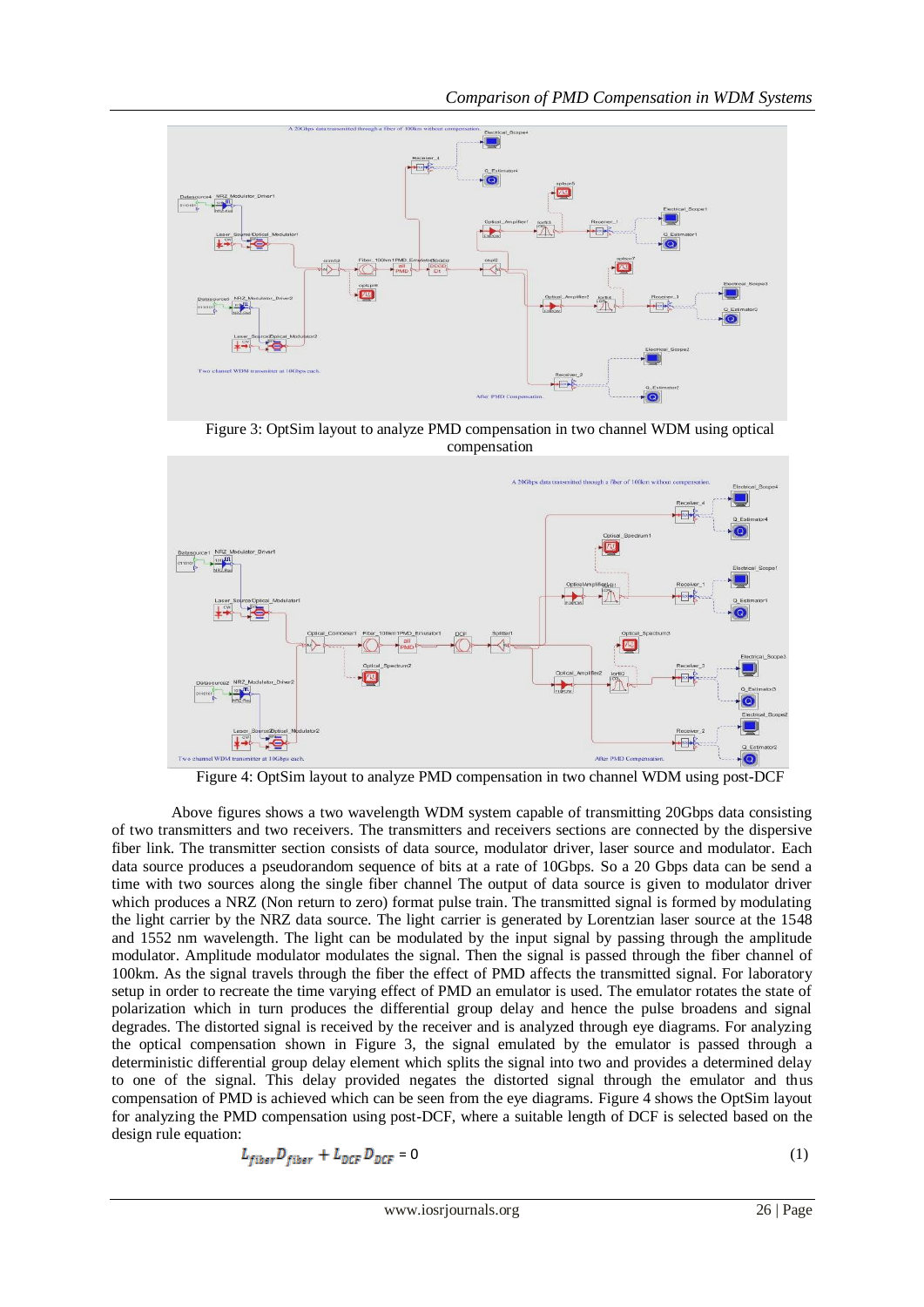

Figure 3: OptSim layout to analyze PMD compensation in two channel WDM using optical compensation



Figure 4: OptSim layout to analyze PMD compensation in two channel WDM using post-DCF

Above figures shows a two wavelength WDM system capable of transmitting 20Gbps data consisting of two transmitters and two receivers. The transmitters and receivers sections are connected by the dispersive fiber link. The transmitter section consists of data source, modulator driver, laser source and modulator. Each data source produces a pseudorandom sequence of bits at a rate of 10Gbps. So a 20 Gbps data can be send a time with two sources along the single fiber channel The output of data source is given to modulator driver which produces a NRZ (Non return to zero) format pulse train. The transmitted signal is formed by modulating the light carrier by the NRZ data source. The light carrier is generated by Lorentzian laser source at the 1548 and 1552 nm wavelength. The light can be modulated by the input signal by passing through the amplitude modulator. Amplitude modulator modulates the signal. Then the signal is passed through the fiber channel of 100km. As the signal travels through the fiber the effect of PMD affects the transmitted signal. For laboratory setup in order to recreate the time varying effect of PMD an emulator is used. The emulator rotates the state of polarization which in turn produces the differential group delay and hence the pulse broadens and signal degrades. The distorted signal is received by the receiver and is analyzed through eye diagrams. For analyzing the optical compensation shown in Figure 3, the signal emulated by the emulator is passed through a deterministic differential group delay element which splits the signal into two and provides a determined delay to one of the signal. This delay provided negates the distorted signal through the emulator and thus compensation of PMD is achieved which can be seen from the eye diagrams. Figure 4 shows the OptSim layout for analyzing the PMD compensation using post-DCF, where a suitable length of DCF is selected based on the design rule equation:

$$
L_{fiber}D_{fiber} + L_{DCF}D_{DCF} = 0
$$
\n(1)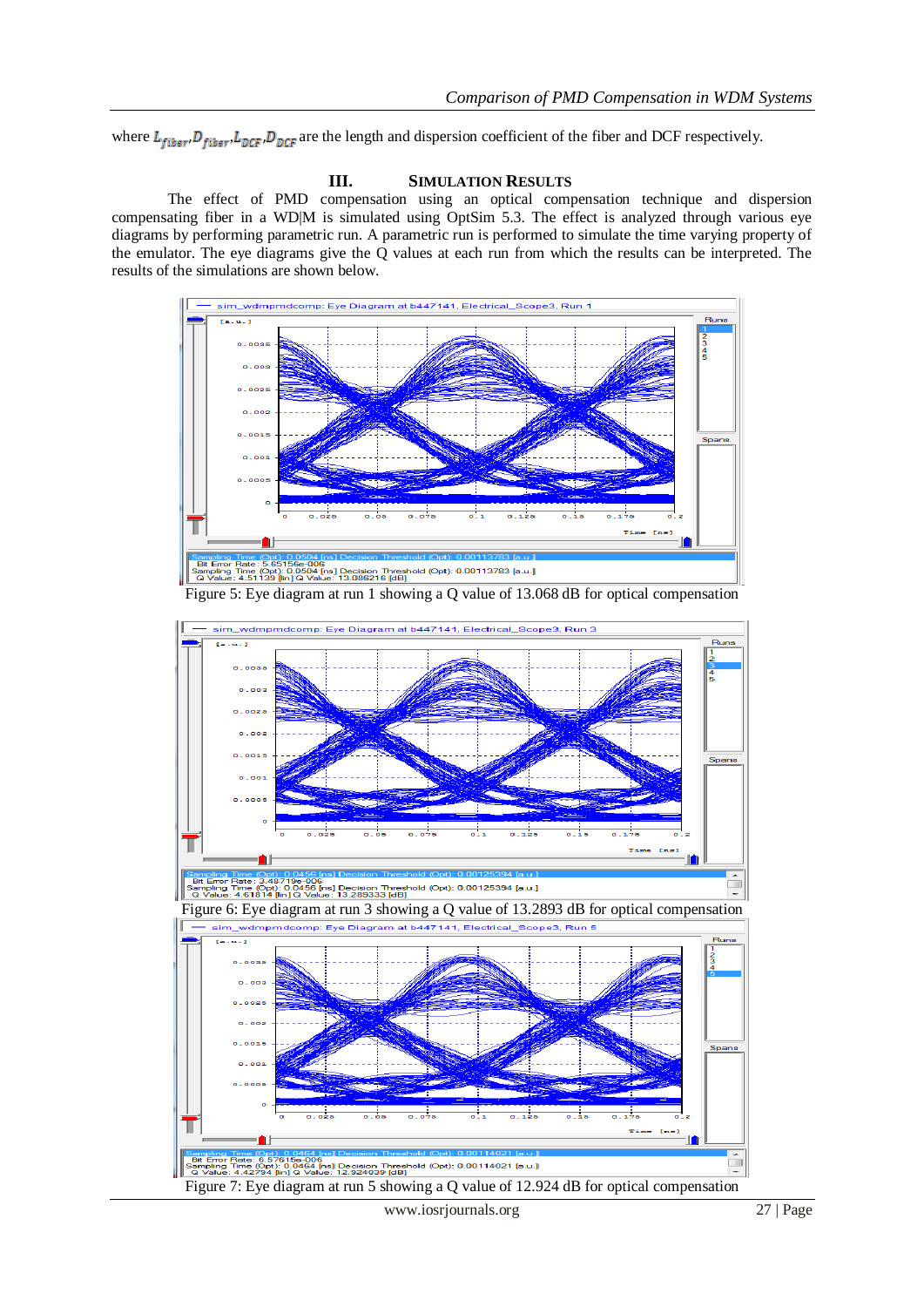where  $L_{fiber}$ ,  $D_{fiber}$ ,  $L_{DCF}$ ,  $D_{DCF}$  are the length and dispersion coefficient of the fiber and DCF respectively.

#### **III. SIMULATION RESULTS**

The effect of PMD compensation using an optical compensation technique and dispersion compensating fiber in a WD|M is simulated using OptSim 5.3. The effect is analyzed through various eye diagrams by performing parametric run. A parametric run is performed to simulate the time varying property of the emulator. The eye diagrams give the Q values at each run from which the results can be interpreted. The results of the simulations are shown below.



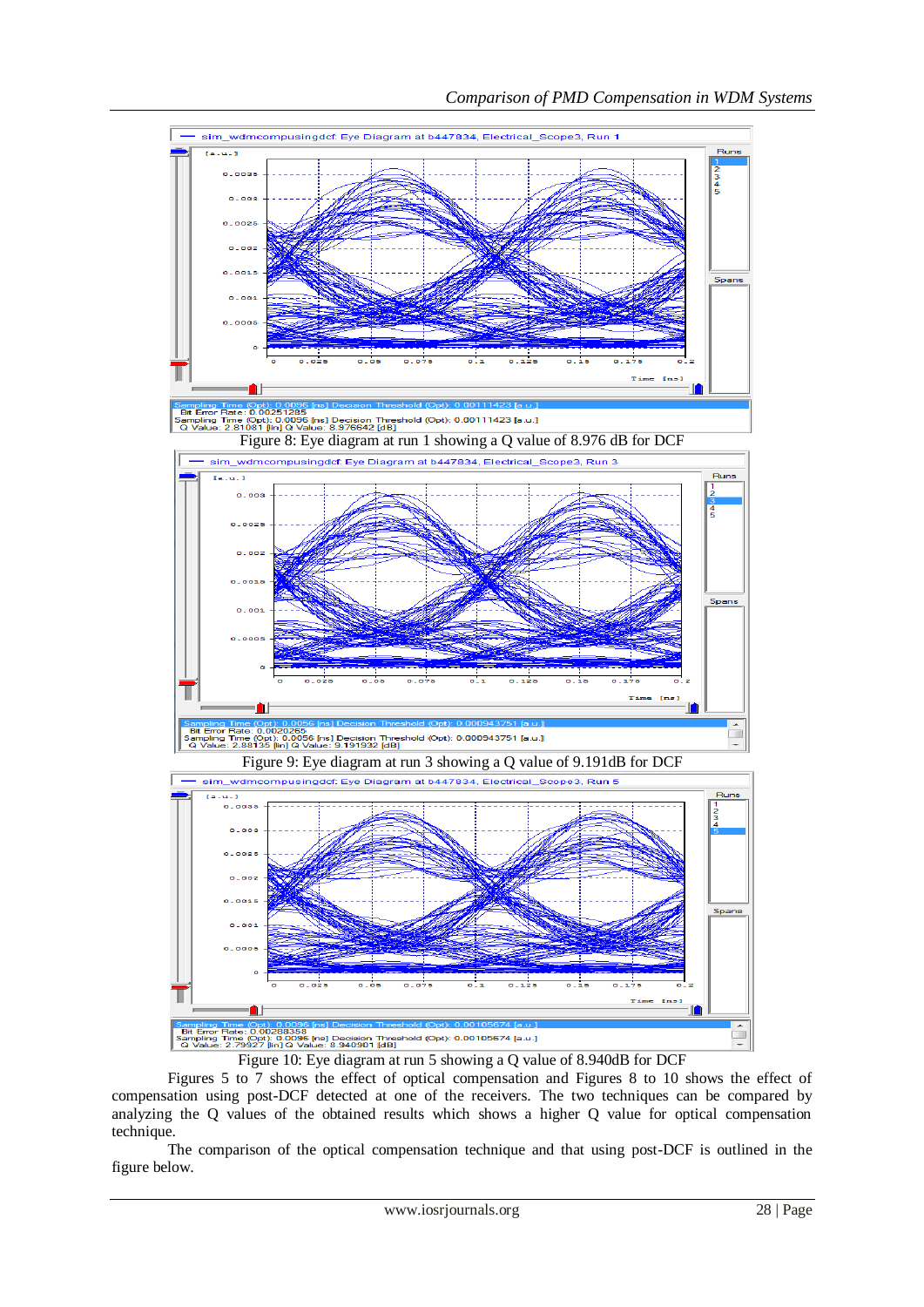

Figure 10: Eye diagram at run 5 showing a Q value of 8.940dB for DCF

Figures 5 to 7 shows the effect of optical compensation and Figures 8 to 10 shows the effect of compensation using post-DCF detected at one of the receivers. The two techniques can be compared by analyzing the Q values of the obtained results which shows a higher Q value for optical compensation technique.

The comparison of the optical compensation technique and that using post-DCF is outlined in the figure below.